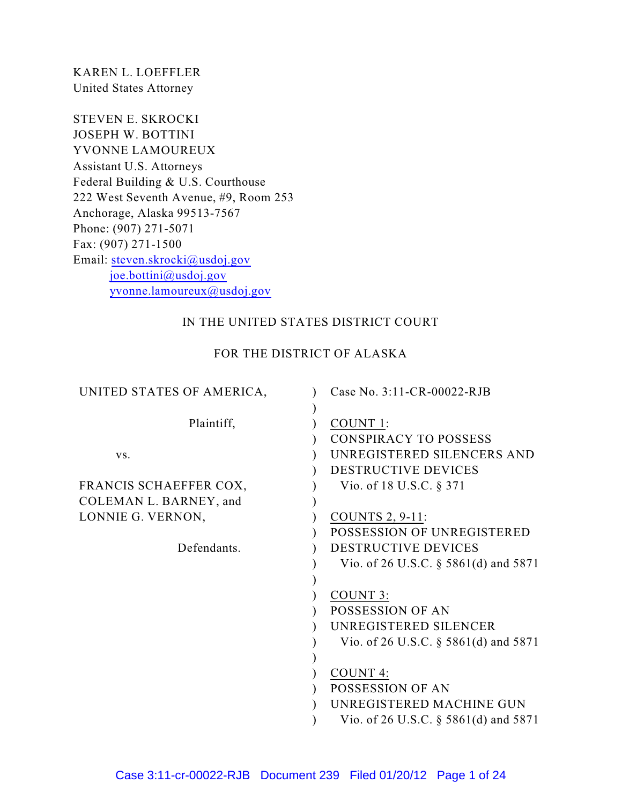KAREN L. LOEFFLER United States Attorney

STEVEN E. SKROCKI JOSEPH W. BOTTINI YVONNE LAMOUREUX Assistant U.S. Attorneys Federal Building & U.S. Courthouse 222 West Seventh Avenue, #9, Room 253 Anchorage, Alaska 99513-7567 Phone: (907) 271-5071 Fax: (907) 271-1500 Email: [steven.skrocki@usdoj.gov](mailto:steven.skrocki@usdoj.gov) [joe.bottini@usdoj.gov](mailto:joe.bottini@usdoj.gov) [yvonne.lamoureux@usdoj.gov](mailto:yvonne.lamoureux@usdoj.gov)

# IN THE UNITED STATES DISTRICT COURT

# FOR THE DISTRICT OF ALASKA

| UNITED STATES OF AMERICA, | Case No. 3:11-CR-00022-RJB           |
|---------------------------|--------------------------------------|
|                           |                                      |
| Plaintiff,                | COUNT 1:                             |
|                           | <b>CONSPIRACY TO POSSESS</b>         |
| VS.                       | UNREGISTERED SILENCERS AND           |
|                           | DESTRUCTIVE DEVICES                  |
| FRANCIS SCHAEFFER COX,    | Vio. of 18 U.S.C. § 371              |
| COLEMAN L. BARNEY, and    |                                      |
| LONNIE G. VERNON,         | COUNTS 2, 9-11:                      |
|                           | POSSESSION OF UNREGISTERED           |
| Defendants.               | DESTRUCTIVE DEVICES                  |
|                           | Vio. of 26 U.S.C. § 5861(d) and 5871 |
|                           |                                      |
|                           | COUNT 3:                             |
|                           | POSSESSION OF AN                     |
|                           | UNREGISTERED SILENCER                |
|                           | Vio. of 26 U.S.C. § 5861(d) and 5871 |
|                           |                                      |
|                           | <b>COUNT 4:</b>                      |
|                           | POSSESSION OF AN                     |
|                           | UNREGISTERED MACHINE GUN             |
|                           | Vio. of 26 U.S.C. § 5861(d) and 5871 |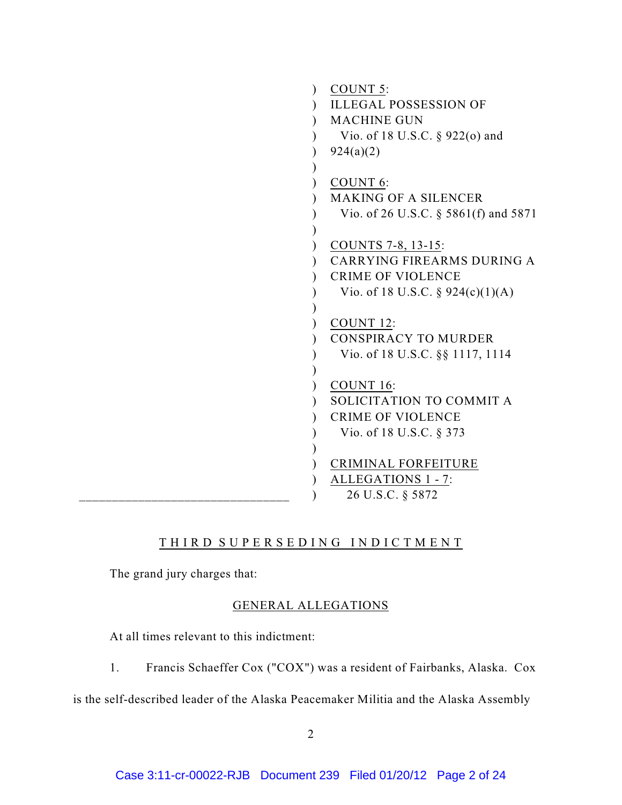```
________________________________
                                                ) COUNT 5:
                                                )
ILLEGAL POSSESSION OF
                                                \mathcal{L}\mathcal{L}\mathcal{L}\mathcal{L}\overline{)}\lambda\lambda\lambda\overline{)}\mathcal{L}\mathcal{L}\lambda\lambda\overline{)}\mathcal{L}\lambda\lambda\mathcal{L}\mathcal{L}\mathcal{L}\lambda\lambda\overline{)}\lambda\lambdaMACHINE GUN
                                                      Vio. of 18 U.S.C. § 922(o) and
                                                    924(a)(2)COUNT 6:
                                                    MAKING OF A SILENCER
                                                      Vio. of 26 U.S.C. § 5861(f) and 5871
                                                    COUNTS 7-8, 13-15:
                                                    CARRYING FIREARMS DURING A
                                                    CRIME OF VIOLENCE
                                                      Vio. of 18 U.S.C. § 924(c)(1)(A)
                                                   COUNT 12:
                                                    CONSPIRACY TO MURDER
                                                      Vio. of 18 U.S.C. §§ 1117, 1114
                                                    COUNT 16:
                                                    SOLICITATION TO COMMIT A
                                                    CRIME OF VIOLENCE
                                                      Vio. of 18 U.S.C. § 373
                                                    CRIMINAL FORFEITURE
                                                    ALLEGATIONS 1 - 7:
                                                       26 U.S.C. § 5872
```
# T H I R D S U P E R S E D I N G I N D I C T M E N T

The grand jury charges that:

# GENERAL ALLEGATIONS

At all times relevant to this indictment:

1. Francis Schaeffer Cox ("COX") was a resident of Fairbanks, Alaska. Cox

is the self-described leader of the Alaska Peacemaker Militia and the Alaska Assembly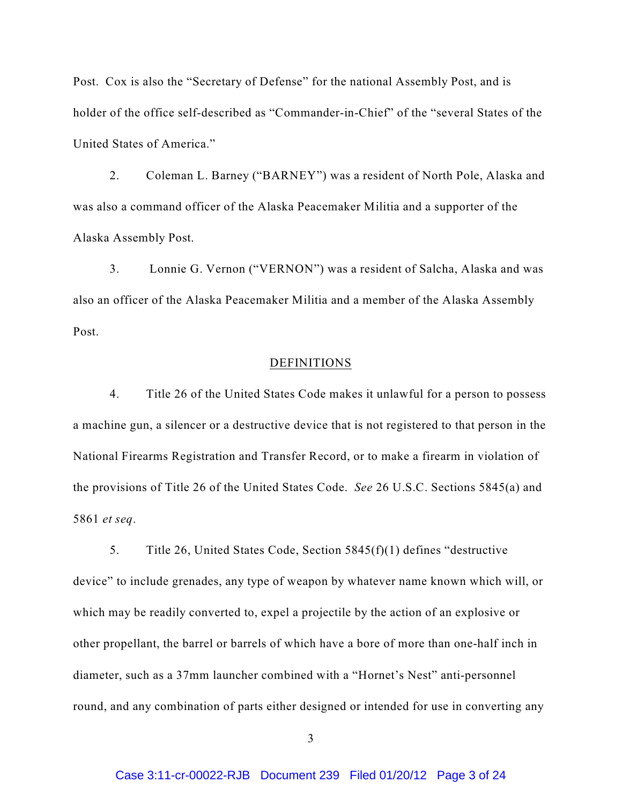Post. Cox is also the "Secretary of Defense" for the national Assembly Post, and is holder of the office self-described as "Commander-in-Chief" of the "several States of the United States of America."

2. Coleman L. Barney ("BARNEY") was a resident of North Pole, Alaska and was also a command officer of the Alaska Peacemaker Militia and a supporter of the Alaska Assembly Post.

3. Lonnie G. Vernon ("VERNON") was a resident of Salcha, Alaska and was also an officer of the Alaska Peacemaker Militia and a member of the Alaska Assembly Post.

# DEFINITIONS

4. Title 26 of the United States Code makes it unlawful for a person to possess a machine gun, a silencer or a destructive device that is not registered to that person in the National Firearms Registration and Transfer Record, or to make a firearm in violation of the provisions of Title 26 of the United States Code. *See* 26 U.S.C. Sections 5845(a) and 5861 *et seq*.

5. Title 26, United States Code, Section 5845(f)(1) defines "destructive device" to include grenades, any type of weapon by whatever name known which will, or which may be readily converted to, expel a projectile by the action of an explosive or other propellant, the barrel or barrels of which have a bore of more than one-half inch in diameter, such as a 37mm launcher combined with a "Hornet's Nest" anti-personnel round, and any combination of parts either designed or intended for use in converting any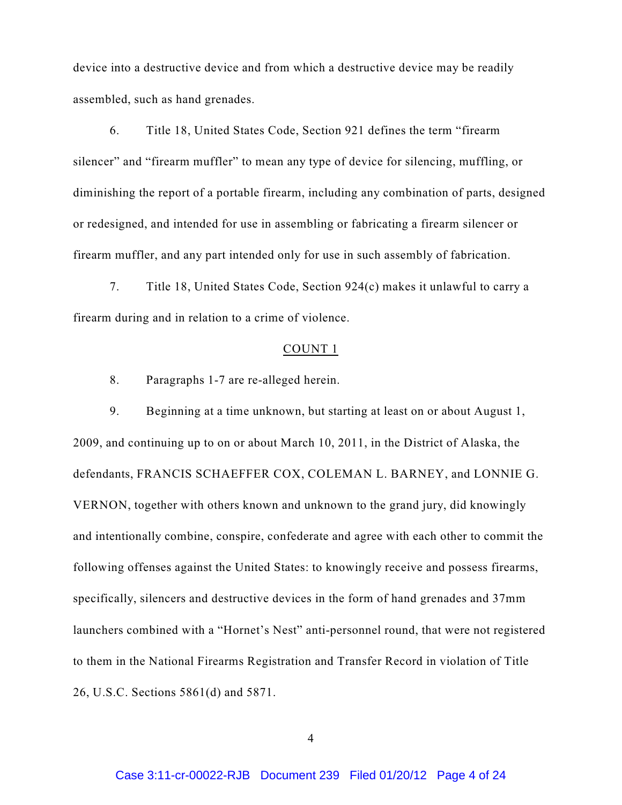device into a destructive device and from which a destructive device may be readily assembled, such as hand grenades.

6. Title 18, United States Code, Section 921 defines the term "firearm silencer" and "firearm muffler" to mean any type of device for silencing, muffling, or diminishing the report of a portable firearm, including any combination of parts, designed or redesigned, and intended for use in assembling or fabricating a firearm silencer or firearm muffler, and any part intended only for use in such assembly of fabrication.

7. Title 18, United States Code, Section 924(c) makes it unlawful to carry a firearm during and in relation to a crime of violence.

#### COUNT 1

8. Paragraphs 1-7 are re-alleged herein.

9. Beginning at a time unknown, but starting at least on or about August 1, 2009, and continuing up to on or about March 10, 2011, in the District of Alaska, the defendants, FRANCIS SCHAEFFER COX, COLEMAN L. BARNEY, and LONNIE G. VERNON, together with others known and unknown to the grand jury, did knowingly and intentionally combine, conspire, confederate and agree with each other to commit the following offenses against the United States: to knowingly receive and possess firearms, specifically, silencers and destructive devices in the form of hand grenades and 37mm launchers combined with a "Hornet's Nest" anti-personnel round, that were not registered to them in the National Firearms Registration and Transfer Record in violation of Title 26, U.S.C. Sections 5861(d) and 5871.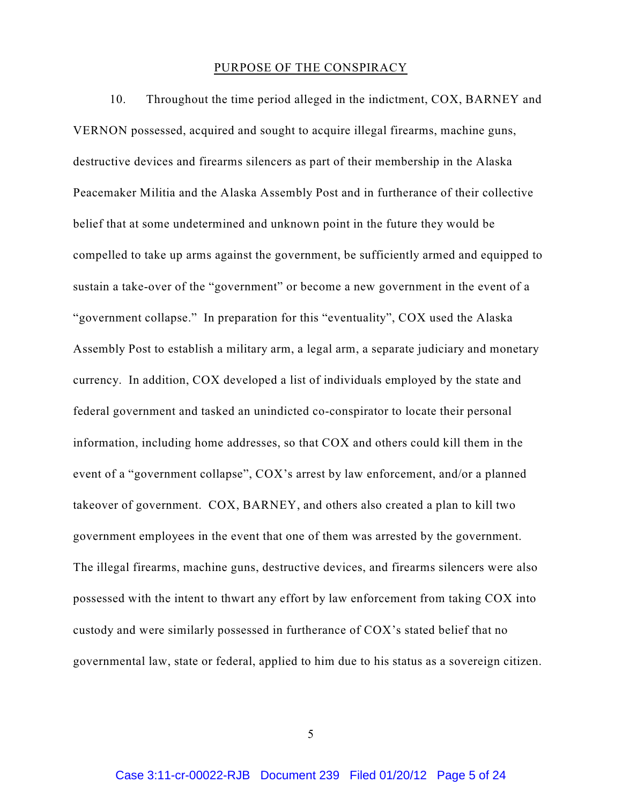#### PURPOSE OF THE CONSPIRACY

10. Throughout the time period alleged in the indictment, COX, BARNEY and VERNON possessed, acquired and sought to acquire illegal firearms, machine guns, destructive devices and firearms silencers as part of their membership in the Alaska Peacemaker Militia and the Alaska Assembly Post and in furtherance of their collective belief that at some undetermined and unknown point in the future they would be compelled to take up arms against the government, be sufficiently armed and equipped to sustain a take-over of the "government" or become a new government in the event of a "government collapse." In preparation for this "eventuality", COX used the Alaska Assembly Post to establish a military arm, a legal arm, a separate judiciary and monetary currency. In addition, COX developed a list of individuals employed by the state and federal government and tasked an unindicted co-conspirator to locate their personal information, including home addresses, so that COX and others could kill them in the event of a "government collapse", COX's arrest by law enforcement, and/or a planned takeover of government. COX, BARNEY, and others also created a plan to kill two government employees in the event that one of them was arrested by the government. The illegal firearms, machine guns, destructive devices, and firearms silencers were also possessed with the intent to thwart any effort by law enforcement from taking COX into custody and were similarly possessed in furtherance of COX's stated belief that no governmental law, state or federal, applied to him due to his status as a sovereign citizen.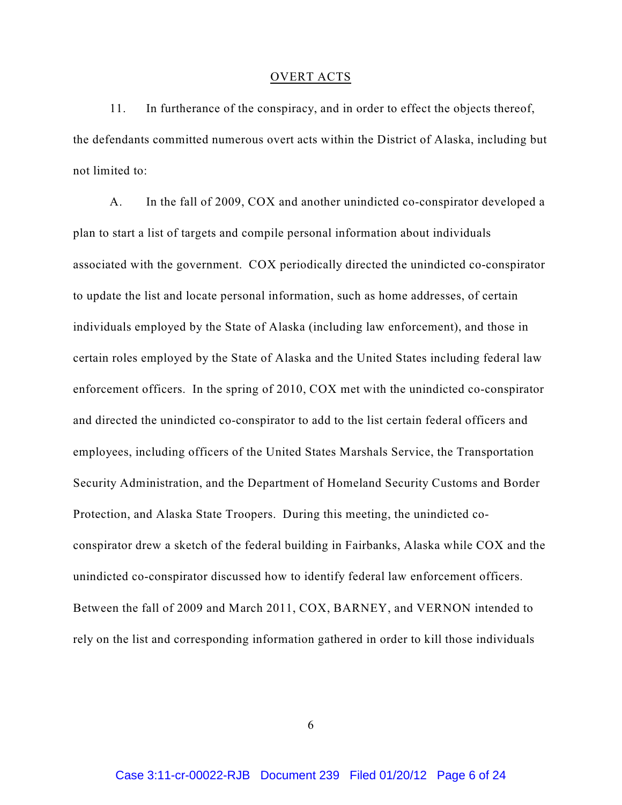# OVERT ACTS

11. In furtherance of the conspiracy, and in order to effect the objects thereof, the defendants committed numerous overt acts within the District of Alaska, including but not limited to:

A. In the fall of 2009, COX and another unindicted co-conspirator developed a plan to start a list of targets and compile personal information about individuals associated with the government. COX periodically directed the unindicted co-conspirator to update the list and locate personal information, such as home addresses, of certain individuals employed by the State of Alaska (including law enforcement), and those in certain roles employed by the State of Alaska and the United States including federal law enforcement officers. In the spring of 2010, COX met with the unindicted co-conspirator and directed the unindicted co-conspirator to add to the list certain federal officers and employees, including officers of the United States Marshals Service, the Transportation Security Administration, and the Department of Homeland Security Customs and Border Protection, and Alaska State Troopers. During this meeting, the unindicted coconspirator drew a sketch of the federal building in Fairbanks, Alaska while COX and the unindicted co-conspirator discussed how to identify federal law enforcement officers. Between the fall of 2009 and March 2011, COX, BARNEY, and VERNON intended to rely on the list and corresponding information gathered in order to kill those individuals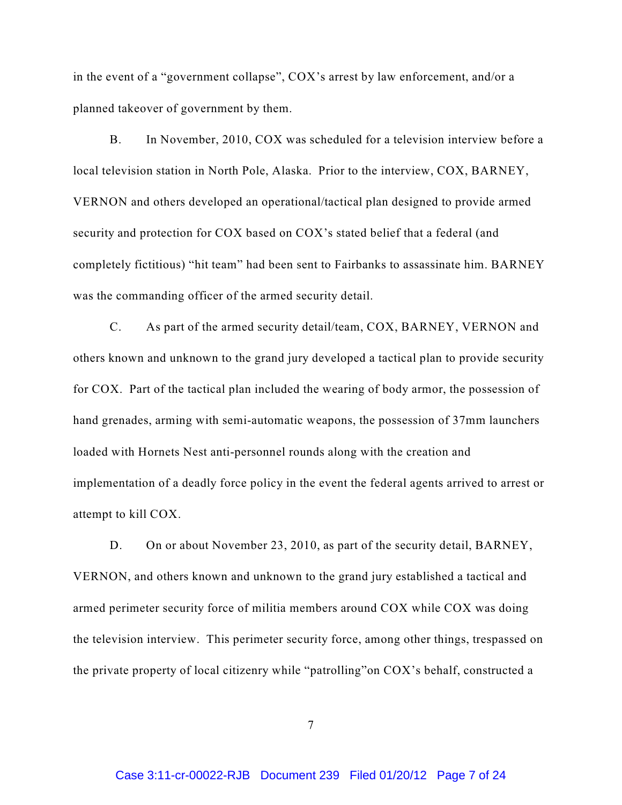in the event of a "government collapse", COX's arrest by law enforcement, and/or a planned takeover of government by them.

B. In November, 2010, COX was scheduled for a television interview before a local television station in North Pole, Alaska. Prior to the interview, COX, BARNEY, VERNON and others developed an operational/tactical plan designed to provide armed security and protection for COX based on COX's stated belief that a federal (and completely fictitious) "hit team" had been sent to Fairbanks to assassinate him. BARNEY was the commanding officer of the armed security detail.

C. As part of the armed security detail/team, COX, BARNEY, VERNON and others known and unknown to the grand jury developed a tactical plan to provide security for COX. Part of the tactical plan included the wearing of body armor, the possession of hand grenades, arming with semi-automatic weapons, the possession of 37mm launchers loaded with Hornets Nest anti-personnel rounds along with the creation and implementation of a deadly force policy in the event the federal agents arrived to arrest or attempt to kill COX.

D. On or about November 23, 2010, as part of the security detail, BARNEY, VERNON, and others known and unknown to the grand jury established a tactical and armed perimeter security force of militia members around COX while COX was doing the television interview. This perimeter security force, among other things, trespassed on the private property of local citizenry while "patrolling"on COX's behalf, constructed a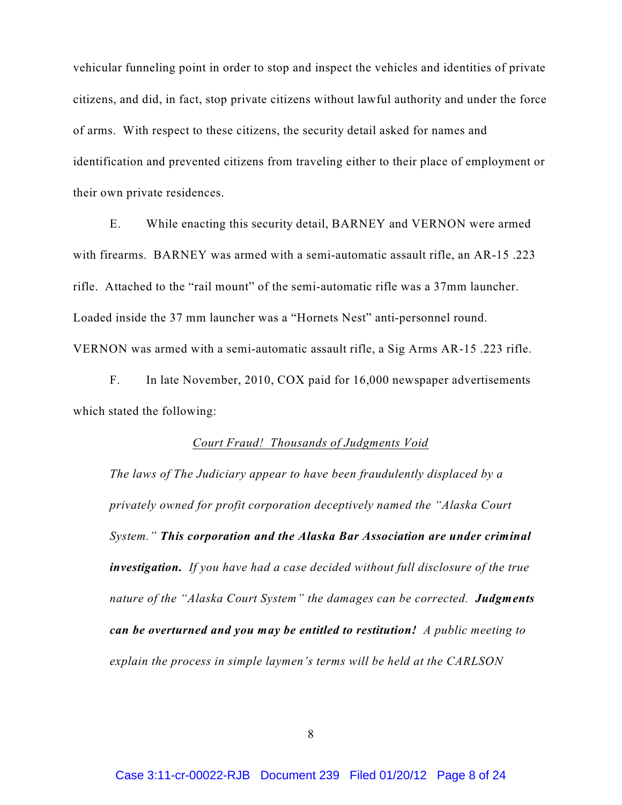vehicular funneling point in order to stop and inspect the vehicles and identities of private citizens, and did, in fact, stop private citizens without lawful authority and under the force of arms. With respect to these citizens, the security detail asked for names and identification and prevented citizens from traveling either to their place of employment or their own private residences.

E. While enacting this security detail, BARNEY and VERNON were armed with firearms. BARNEY was armed with a semi-automatic assault rifle, an AR-15 .223 rifle. Attached to the "rail mount" of the semi-automatic rifle was a 37mm launcher. Loaded inside the 37 mm launcher was a "Hornets Nest" anti-personnel round. VERNON was armed with a semi-automatic assault rifle, a Sig Arms AR-15 .223 rifle.

F. In late November, 2010, COX paid for 16,000 newspaper advertisements which stated the following:

### *Court Fraud! Thousands of Judgments Void*

*The laws of The Judiciary appear to have been fraudulently displaced by a privately owned for profit corporation deceptively named the "Alaska Court System." This corporation and the Alaska Bar Association are under criminal investigation. If you have had a case decided without full disclosure of the true nature of the "Alaska Court System" the damages can be corrected. Judgments can be overturned and you may be entitled to restitution! A public meeting to explain the process in simple laymen's terms will be held at the CARLSON*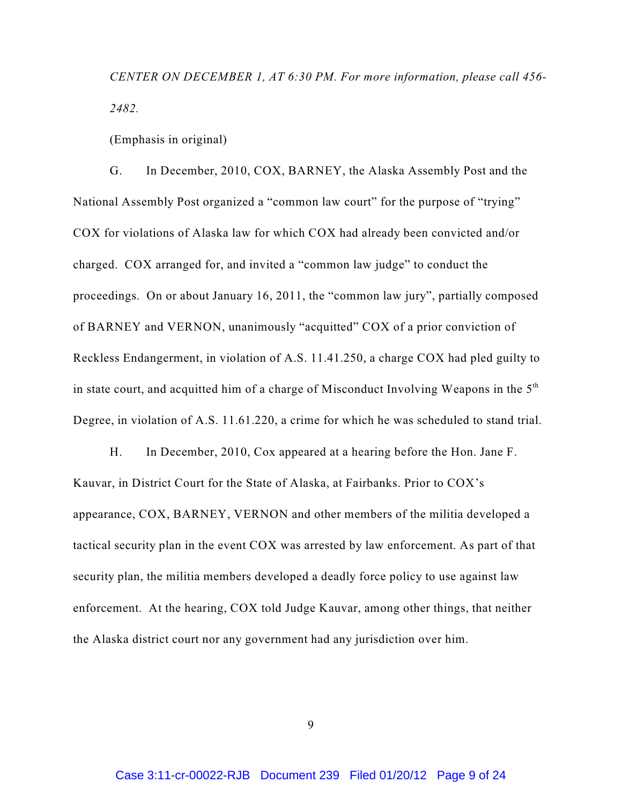*CENTER ON DECEMBER 1, AT 6:30 PM. For more information, please call 456- 2482.*

(Emphasis in original)

G. In December, 2010, COX, BARNEY, the Alaska Assembly Post and the National Assembly Post organized a "common law court" for the purpose of "trying" COX for violations of Alaska law for which COX had already been convicted and/or charged. COX arranged for, and invited a "common law judge" to conduct the proceedings. On or about January 16, 2011, the "common law jury", partially composed of BARNEY and VERNON, unanimously "acquitted" COX of a prior conviction of Reckless Endangerment, in violation of A.S. 11.41.250, a charge COX had pled guilty to in state court, and acquitted him of a charge of Misconduct Involving Weapons in the  $5<sup>th</sup>$ Degree, in violation of A.S. 11.61.220, a crime for which he was scheduled to stand trial.

H. In December, 2010, Cox appeared at a hearing before the Hon. Jane F. Kauvar, in District Court for the State of Alaska, at Fairbanks. Prior to COX's appearance, COX, BARNEY, VERNON and other members of the militia developed a tactical security plan in the event COX was arrested by law enforcement. As part of that security plan, the militia members developed a deadly force policy to use against law enforcement. At the hearing, COX told Judge Kauvar, among other things, that neither the Alaska district court nor any government had any jurisdiction over him.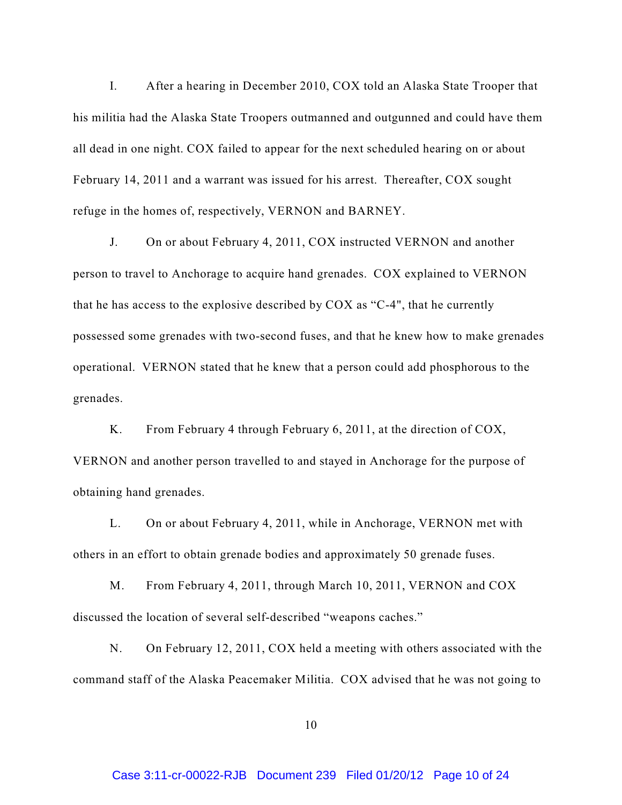I. After a hearing in December 2010, COX told an Alaska State Trooper that his militia had the Alaska State Troopers outmanned and outgunned and could have them all dead in one night. COX failed to appear for the next scheduled hearing on or about February 14, 2011 and a warrant was issued for his arrest. Thereafter, COX sought refuge in the homes of, respectively, VERNON and BARNEY.

J. On or about February 4, 2011, COX instructed VERNON and another person to travel to Anchorage to acquire hand grenades. COX explained to VERNON that he has access to the explosive described by COX as "C-4", that he currently possessed some grenades with two-second fuses, and that he knew how to make grenades operational. VERNON stated that he knew that a person could add phosphorous to the grenades.

K. From February 4 through February 6, 2011, at the direction of COX, VERNON and another person travelled to and stayed in Anchorage for the purpose of obtaining hand grenades.

L. On or about February 4, 2011, while in Anchorage, VERNON met with others in an effort to obtain grenade bodies and approximately 50 grenade fuses.

M. From February 4, 2011, through March 10, 2011, VERNON and COX discussed the location of several self-described "weapons caches."

N. On February 12, 2011, COX held a meeting with others associated with the command staff of the Alaska Peacemaker Militia. COX advised that he was not going to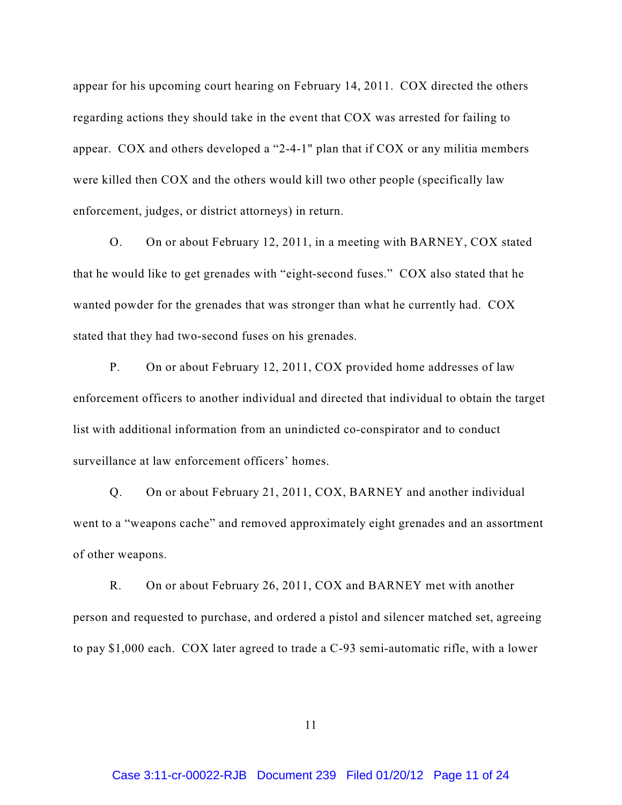appear for his upcoming court hearing on February 14, 2011. COX directed the others regarding actions they should take in the event that COX was arrested for failing to appear. COX and others developed a "2-4-1" plan that if COX or any militia members were killed then COX and the others would kill two other people (specifically law enforcement, judges, or district attorneys) in return.

O. On or about February 12, 2011, in a meeting with BARNEY, COX stated that he would like to get grenades with "eight-second fuses." COX also stated that he wanted powder for the grenades that was stronger than what he currently had. COX stated that they had two-second fuses on his grenades.

P. On or about February 12, 2011, COX provided home addresses of law enforcement officers to another individual and directed that individual to obtain the target list with additional information from an unindicted co-conspirator and to conduct surveillance at law enforcement officers' homes.

Q. On or about February 21, 2011, COX, BARNEY and another individual went to a "weapons cache" and removed approximately eight grenades and an assortment of other weapons.

R. On or about February 26, 2011, COX and BARNEY met with another person and requested to purchase, and ordered a pistol and silencer matched set, agreeing to pay \$1,000 each. COX later agreed to trade a C-93 semi-automatic rifle, with a lower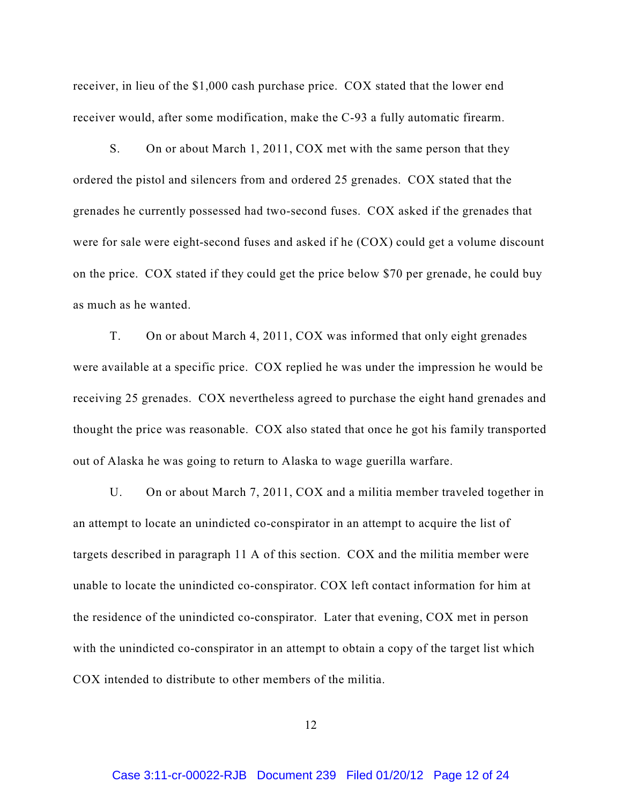receiver, in lieu of the \$1,000 cash purchase price. COX stated that the lower end receiver would, after some modification, make the C-93 a fully automatic firearm.

S. On or about March 1, 2011, COX met with the same person that they ordered the pistol and silencers from and ordered 25 grenades. COX stated that the grenades he currently possessed had two-second fuses. COX asked if the grenades that were for sale were eight-second fuses and asked if he (COX) could get a volume discount on the price. COX stated if they could get the price below \$70 per grenade, he could buy as much as he wanted.

T. On or about March 4, 2011, COX was informed that only eight grenades were available at a specific price. COX replied he was under the impression he would be receiving 25 grenades. COX nevertheless agreed to purchase the eight hand grenades and thought the price was reasonable. COX also stated that once he got his family transported out of Alaska he was going to return to Alaska to wage guerilla warfare.

U. On or about March 7, 2011, COX and a militia member traveled together in an attempt to locate an unindicted co-conspirator in an attempt to acquire the list of targets described in paragraph 11 A of this section. COX and the militia member were unable to locate the unindicted co-conspirator. COX left contact information for him at the residence of the unindicted co-conspirator. Later that evening, COX met in person with the unindicted co-conspirator in an attempt to obtain a copy of the target list which COX intended to distribute to other members of the militia.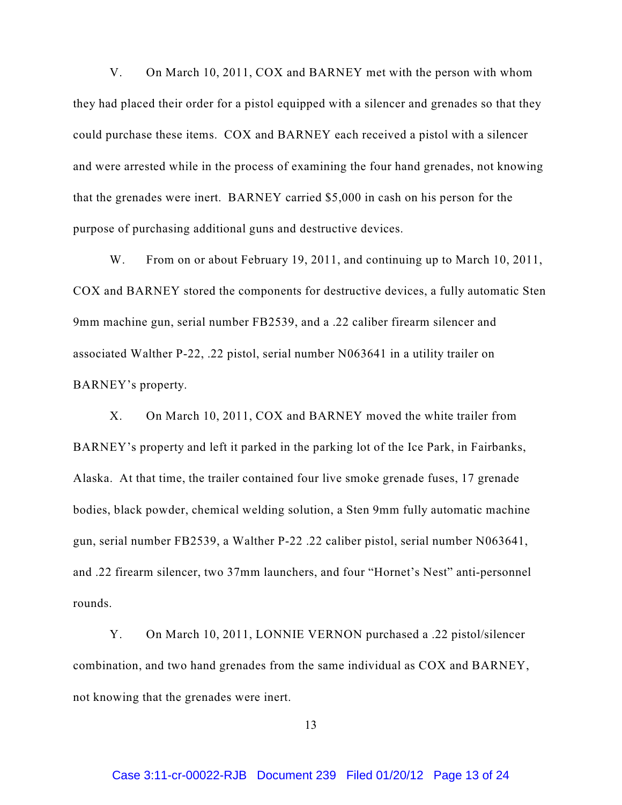V. On March 10, 2011, COX and BARNEY met with the person with whom they had placed their order for a pistol equipped with a silencer and grenades so that they could purchase these items. COX and BARNEY each received a pistol with a silencer and were arrested while in the process of examining the four hand grenades, not knowing that the grenades were inert. BARNEY carried \$5,000 in cash on his person for the purpose of purchasing additional guns and destructive devices.

W. From on or about February 19, 2011, and continuing up to March 10, 2011, COX and BARNEY stored the components for destructive devices, a fully automatic Sten 9mm machine gun, serial number FB2539, and a .22 caliber firearm silencer and associated Walther P-22, .22 pistol, serial number N063641 in a utility trailer on BARNEY's property.

X. On March 10, 2011, COX and BARNEY moved the white trailer from BARNEY's property and left it parked in the parking lot of the Ice Park, in Fairbanks, Alaska. At that time, the trailer contained four live smoke grenade fuses, 17 grenade bodies, black powder, chemical welding solution, a Sten 9mm fully automatic machine gun, serial number FB2539, a Walther P-22 .22 caliber pistol, serial number N063641, and .22 firearm silencer, two 37mm launchers, and four "Hornet's Nest" anti-personnel rounds.

Y. On March 10, 2011, LONNIE VERNON purchased a .22 pistol/silencer combination, and two hand grenades from the same individual as COX and BARNEY, not knowing that the grenades were inert.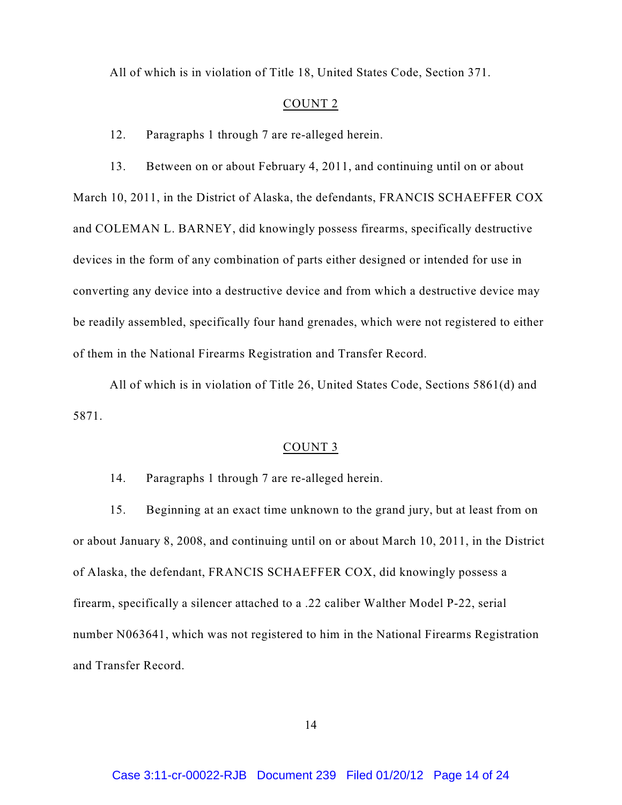All of which is in violation of Title 18, United States Code, Section 371.

### COUNT 2

12. Paragraphs 1 through 7 are re-alleged herein.

13. Between on or about February 4, 2011, and continuing until on or about March 10, 2011, in the District of Alaska, the defendants, FRANCIS SCHAEFFER COX and COLEMAN L. BARNEY, did knowingly possess firearms, specifically destructive devices in the form of any combination of parts either designed or intended for use in converting any device into a destructive device and from which a destructive device may be readily assembled, specifically four hand grenades, which were not registered to either of them in the National Firearms Registration and Transfer Record.

All of which is in violation of Title 26, United States Code, Sections 5861(d) and 5871.

## COUNT 3

14. Paragraphs 1 through 7 are re-alleged herein.

15. Beginning at an exact time unknown to the grand jury, but at least from on or about January 8, 2008, and continuing until on or about March 10, 2011, in the District of Alaska, the defendant, FRANCIS SCHAEFFER COX, did knowingly possess a firearm, specifically a silencer attached to a .22 caliber Walther Model P-22, serial number N063641, which was not registered to him in the National Firearms Registration and Transfer Record.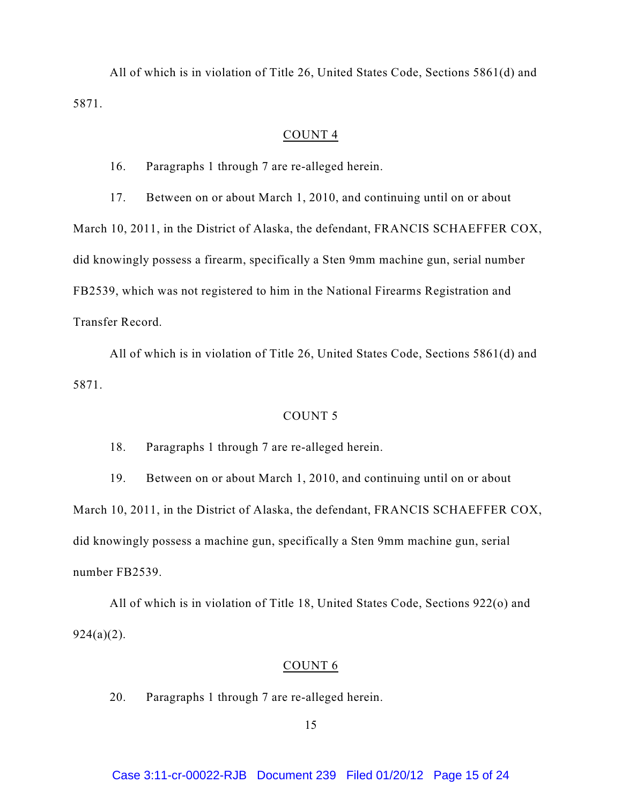All of which is in violation of Title 26, United States Code, Sections 5861(d) and 5871.

# COUNT 4

16. Paragraphs 1 through 7 are re-alleged herein.

17. Between on or about March 1, 2010, and continuing until on or about March 10, 2011, in the District of Alaska, the defendant, FRANCIS SCHAEFFER COX, did knowingly possess a firearm, specifically a Sten 9mm machine gun, serial number FB2539, which was not registered to him in the National Firearms Registration and Transfer Record.

All of which is in violation of Title 26, United States Code, Sections 5861(d) and 5871.

# COUNT 5

18. Paragraphs 1 through 7 are re-alleged herein.

19. Between on or about March 1, 2010, and continuing until on or about March 10, 2011, in the District of Alaska, the defendant, FRANCIS SCHAEFFER COX, did knowingly possess a machine gun, specifically a Sten 9mm machine gun, serial number FB2539.

All of which is in violation of Title 18, United States Code, Sections 922(o) and  $924(a)(2)$ .

# COUNT 6

20. Paragraphs 1 through 7 are re-alleged herein.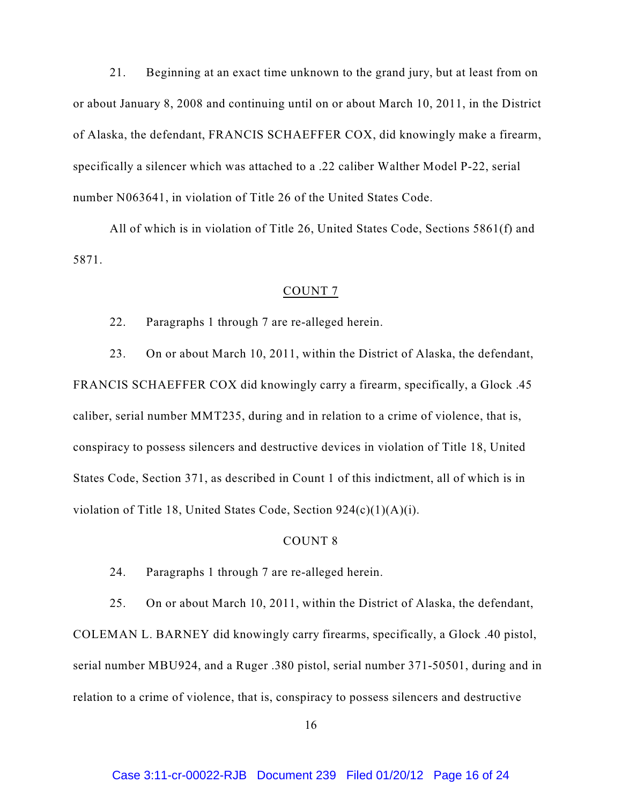21. Beginning at an exact time unknown to the grand jury, but at least from on or about January 8, 2008 and continuing until on or about March 10, 2011, in the District of Alaska, the defendant, FRANCIS SCHAEFFER COX, did knowingly make a firearm, specifically a silencer which was attached to a .22 caliber Walther Model P-22, serial number N063641, in violation of Title 26 of the United States Code.

All of which is in violation of Title 26, United States Code, Sections 5861(f) and 5871.

#### COUNT 7

22. Paragraphs 1 through 7 are re-alleged herein.

23. On or about March 10, 2011, within the District of Alaska, the defendant, FRANCIS SCHAEFFER COX did knowingly carry a firearm, specifically, a Glock .45 caliber, serial number MMT235, during and in relation to a crime of violence, that is, conspiracy to possess silencers and destructive devices in violation of Title 18, United States Code, Section 371, as described in Count 1 of this indictment, all of which is in violation of Title 18, United States Code, Section 924(c)(1)(A)(i).

### COUNT 8

24. Paragraphs 1 through 7 are re-alleged herein.

25. On or about March 10, 2011, within the District of Alaska, the defendant, COLEMAN L. BARNEY did knowingly carry firearms, specifically, a Glock .40 pistol, serial number MBU924, and a Ruger .380 pistol, serial number 371-50501, during and in relation to a crime of violence, that is, conspiracy to possess silencers and destructive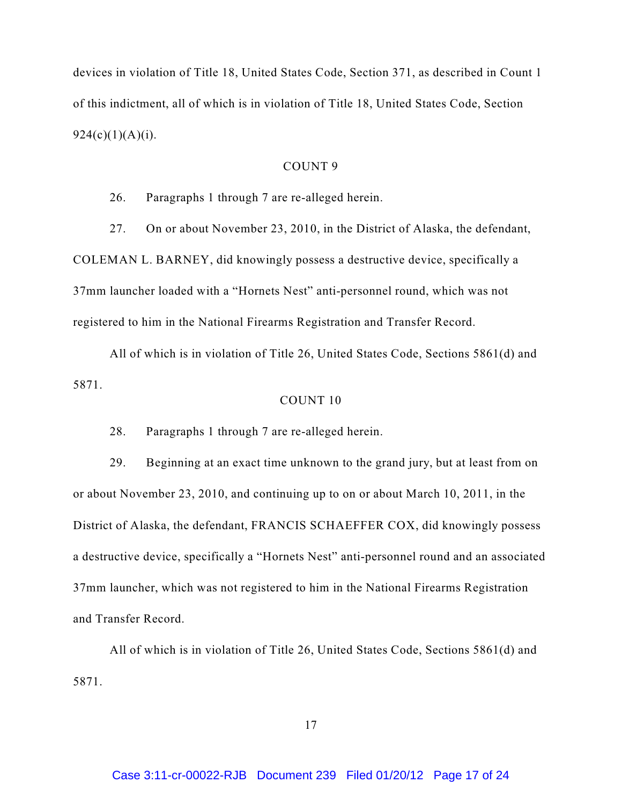devices in violation of Title 18, United States Code, Section 371, as described in Count 1 of this indictment, all of which is in violation of Title 18, United States Code, Section  $924(c)(1)(A)(i)$ .

#### COUNT 9

26. Paragraphs 1 through 7 are re-alleged herein.

27. On or about November 23, 2010, in the District of Alaska, the defendant, COLEMAN L. BARNEY, did knowingly possess a destructive device, specifically a 37mm launcher loaded with a "Hornets Nest" anti-personnel round, which was not registered to him in the National Firearms Registration and Transfer Record.

All of which is in violation of Title 26, United States Code, Sections 5861(d) and 5871.

# COUNT 10

28. Paragraphs 1 through 7 are re-alleged herein.

29. Beginning at an exact time unknown to the grand jury, but at least from on or about November 23, 2010, and continuing up to on or about March 10, 2011, in the District of Alaska, the defendant, FRANCIS SCHAEFFER COX, did knowingly possess a destructive device, specifically a "Hornets Nest" anti-personnel round and an associated 37mm launcher, which was not registered to him in the National Firearms Registration and Transfer Record.

All of which is in violation of Title 26, United States Code, Sections 5861(d) and 5871.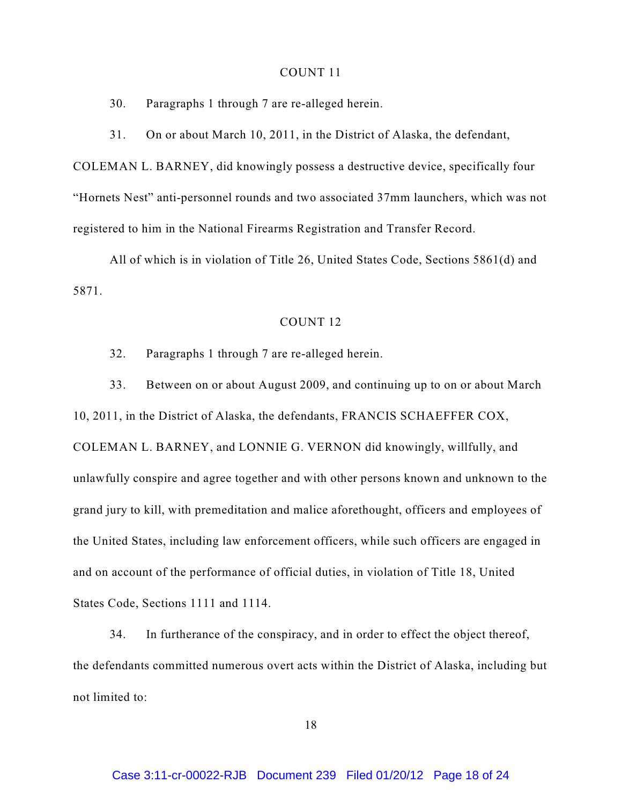### COUNT 11

30. Paragraphs 1 through 7 are re-alleged herein.

31. On or about March 10, 2011, in the District of Alaska, the defendant, COLEMAN L. BARNEY, did knowingly possess a destructive device, specifically four "Hornets Nest" anti-personnel rounds and two associated 37mm launchers, which was not registered to him in the National Firearms Registration and Transfer Record.

All of which is in violation of Title 26, United States Code, Sections 5861(d) and 5871.

#### COUNT 12

32. Paragraphs 1 through 7 are re-alleged herein.

33. Between on or about August 2009, and continuing up to on or about March 10, 2011, in the District of Alaska, the defendants, FRANCIS SCHAEFFER COX, COLEMAN L. BARNEY, and LONNIE G. VERNON did knowingly, willfully, and unlawfully conspire and agree together and with other persons known and unknown to the grand jury to kill, with premeditation and malice aforethought, officers and employees of the United States, including law enforcement officers, while such officers are engaged in and on account of the performance of official duties, in violation of Title 18, United States Code, Sections 1111 and 1114.

34. In furtherance of the conspiracy, and in order to effect the object thereof, the defendants committed numerous overt acts within the District of Alaska, including but not limited to: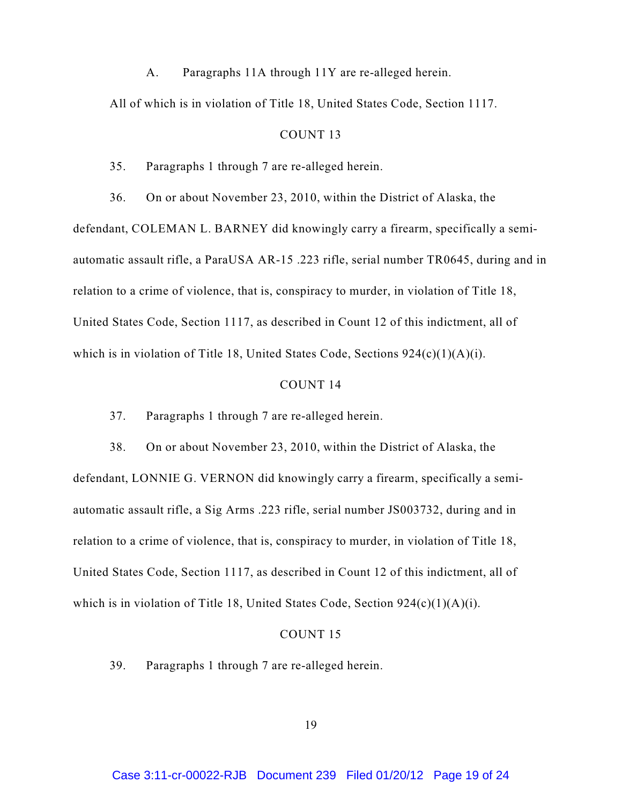A. Paragraphs 11A through 11Y are re-alleged herein.

All of which is in violation of Title 18, United States Code, Section 1117.

#### COUNT 13

35. Paragraphs 1 through 7 are re-alleged herein.

36. On or about November 23, 2010, within the District of Alaska, the defendant, COLEMAN L. BARNEY did knowingly carry a firearm, specifically a semiautomatic assault rifle, a ParaUSA AR-15 .223 rifle, serial number TR0645, during and in relation to a crime of violence, that is, conspiracy to murder, in violation of Title 18, United States Code, Section 1117, as described in Count 12 of this indictment, all of which is in violation of Title 18, United States Code, Sections  $924(c)(1)(A)(i)$ .

#### COUNT 14

37. Paragraphs 1 through 7 are re-alleged herein.

38. On or about November 23, 2010, within the District of Alaska, the defendant, LONNIE G. VERNON did knowingly carry a firearm, specifically a semiautomatic assault rifle, a Sig Arms .223 rifle, serial number JS003732, during and in relation to a crime of violence, that is, conspiracy to murder, in violation of Title 18, United States Code, Section 1117, as described in Count 12 of this indictment, all of which is in violation of Title 18, United States Code, Section 924(c)(1)(A)(i).

#### COUNT 15

39. Paragraphs 1 through 7 are re-alleged herein.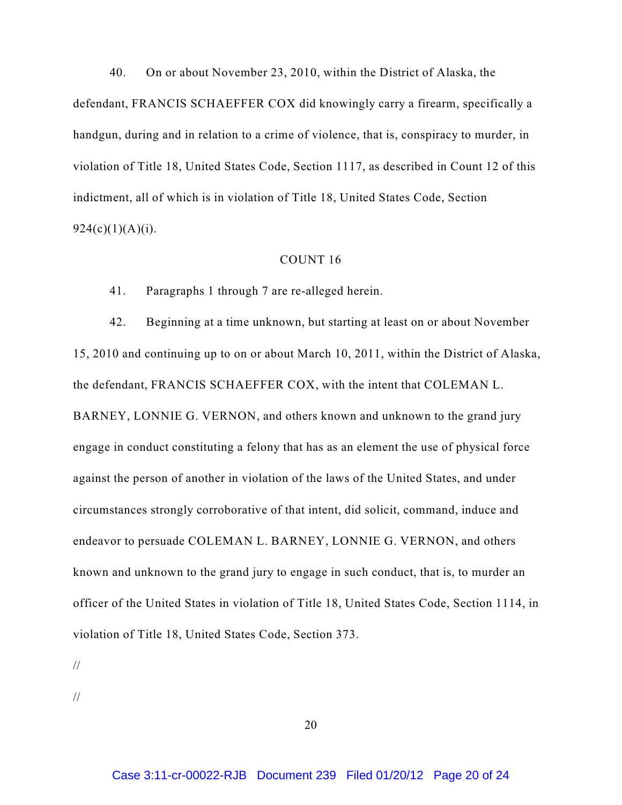40. On or about November 23, 2010, within the District of Alaska, the defendant, FRANCIS SCHAEFFER COX did knowingly carry a firearm, specifically a handgun, during and in relation to a crime of violence, that is, conspiracy to murder, in violation of Title 18, United States Code, Section 1117, as described in Count 12 of this indictment, all of which is in violation of Title 18, United States Code, Section  $924(c)(1)(A)(i)$ .

# COUNT 16

41. Paragraphs 1 through 7 are re-alleged herein.

42. Beginning at a time unknown, but starting at least on or about November 15, 2010 and continuing up to on or about March 10, 2011, within the District of Alaska, the defendant, FRANCIS SCHAEFFER COX, with the intent that COLEMAN L. BARNEY, LONNIE G. VERNON, and others known and unknown to the grand jury engage in conduct constituting a felony that has as an element the use of physical force against the person of another in violation of the laws of the United States, and under circumstances strongly corroborative of that intent, did solicit, command, induce and endeavor to persuade COLEMAN L. BARNEY, LONNIE G. VERNON, and others known and unknown to the grand jury to engage in such conduct, that is, to murder an officer of the United States in violation of Title 18, United States Code, Section 1114, in violation of Title 18, United States Code, Section 373.

//

//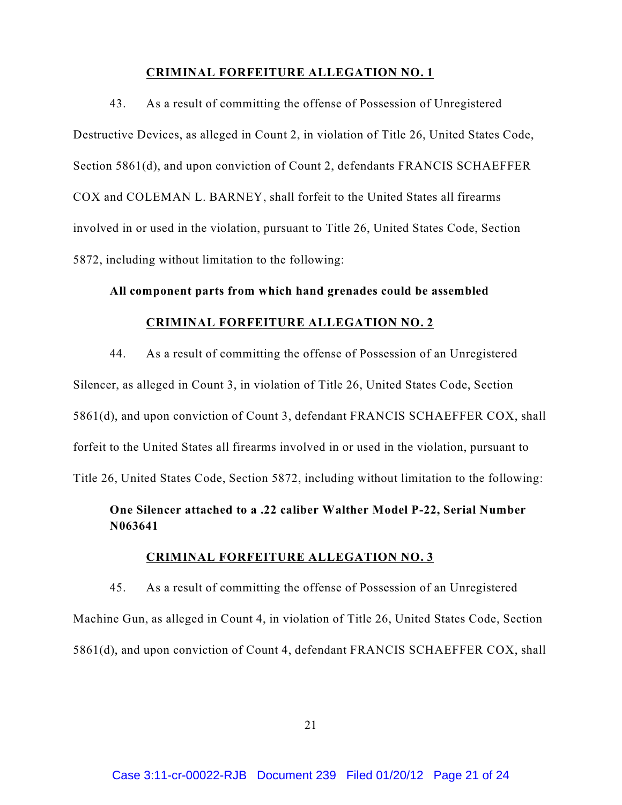### **CRIMINAL FORFEITURE ALLEGATION NO. 1**

43. As a result of committing the offense of Possession of Unregistered Destructive Devices, as alleged in Count 2, in violation of Title 26, United States Code, Section 5861(d), and upon conviction of Count 2, defendants FRANCIS SCHAEFFER COX and COLEMAN L. BARNEY, shall forfeit to the United States all firearms involved in or used in the violation, pursuant to Title 26, United States Code, Section 5872, including without limitation to the following:

# **All component parts from which hand grenades could be assembled**

## **CRIMINAL FORFEITURE ALLEGATION NO. 2**

44. As a result of committing the offense of Possession of an Unregistered Silencer, as alleged in Count 3, in violation of Title 26, United States Code, Section 5861(d), and upon conviction of Count 3, defendant FRANCIS SCHAEFFER COX, shall forfeit to the United States all firearms involved in or used in the violation, pursuant to Title 26, United States Code, Section 5872, including without limitation to the following:

# **One Silencer attached to a .22 caliber Walther Model P-22, Serial Number N063641**

### **CRIMINAL FORFEITURE ALLEGATION NO. 3**

45. As a result of committing the offense of Possession of an Unregistered Machine Gun, as alleged in Count 4, in violation of Title 26, United States Code, Section 5861(d), and upon conviction of Count 4, defendant FRANCIS SCHAEFFER COX, shall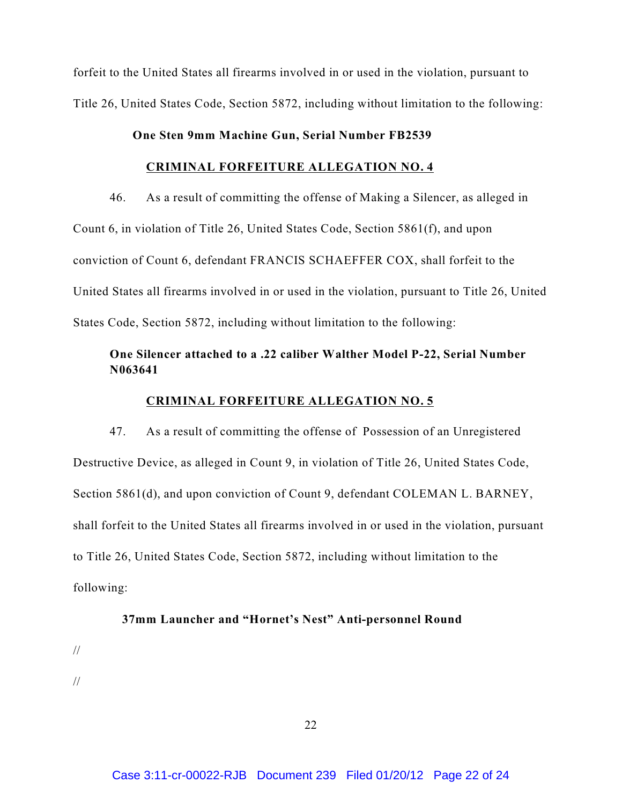forfeit to the United States all firearms involved in or used in the violation, pursuant to Title 26, United States Code, Section 5872, including without limitation to the following:

# **One Sten 9mm Machine Gun, Serial Number FB2539**

# **CRIMINAL FORFEITURE ALLEGATION NO. 4**

46. As a result of committing the offense of Making a Silencer, as alleged in Count 6, in violation of Title 26, United States Code, Section 5861(f), and upon conviction of Count 6, defendant FRANCIS SCHAEFFER COX, shall forfeit to the United States all firearms involved in or used in the violation, pursuant to Title 26, United States Code, Section 5872, including without limitation to the following:

# **One Silencer attached to a .22 caliber Walther Model P-22, Serial Number N063641**

# **CRIMINAL FORFEITURE ALLEGATION NO. 5**

47. As a result of committing the offense of Possession of an Unregistered Destructive Device, as alleged in Count 9, in violation of Title 26, United States Code, Section 5861(d), and upon conviction of Count 9, defendant COLEMAN L. BARNEY, shall forfeit to the United States all firearms involved in or used in the violation, pursuant to Title 26, United States Code, Section 5872, including without limitation to the following:

#### **37mm Launcher and "Hornet's Nest" Anti-personnel Round**

//

//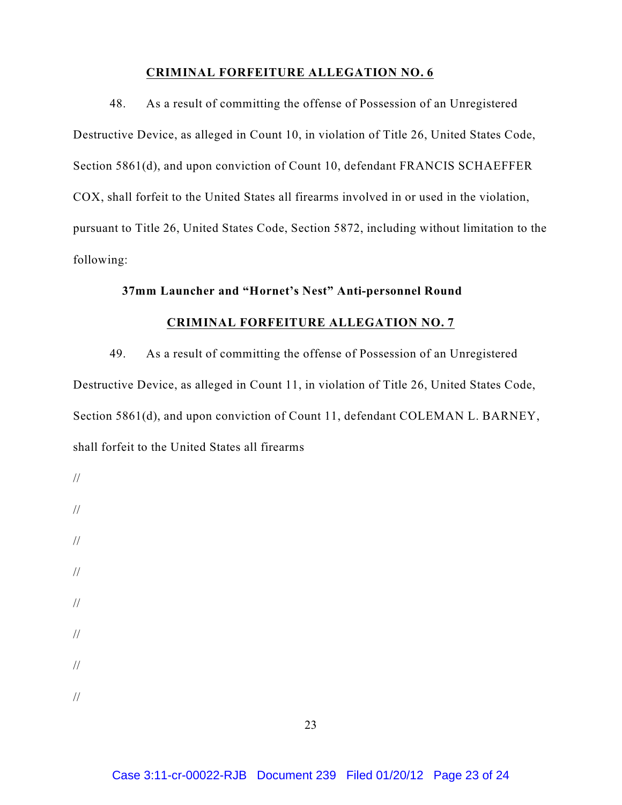# **CRIMINAL FORFEITURE ALLEGATION NO. 6**

48. As a result of committing the offense of Possession of an Unregistered Destructive Device, as alleged in Count 10, in violation of Title 26, United States Code, Section 5861(d), and upon conviction of Count 10, defendant FRANCIS SCHAEFFER COX, shall forfeit to the United States all firearms involved in or used in the violation, pursuant to Title 26, United States Code, Section 5872, including without limitation to the following:

# **37mm Launcher and "Hornet's Nest" Anti-personnel Round**

# **CRIMINAL FORFEITURE ALLEGATION NO. 7**

49. As a result of committing the offense of Possession of an Unregistered Destructive Device, as alleged in Count 11, in violation of Title 26, United States Code, Section 5861(d), and upon conviction of Count 11, defendant COLEMAN L. BARNEY, shall forfeit to the United States all firearms

// // // // // // //

//